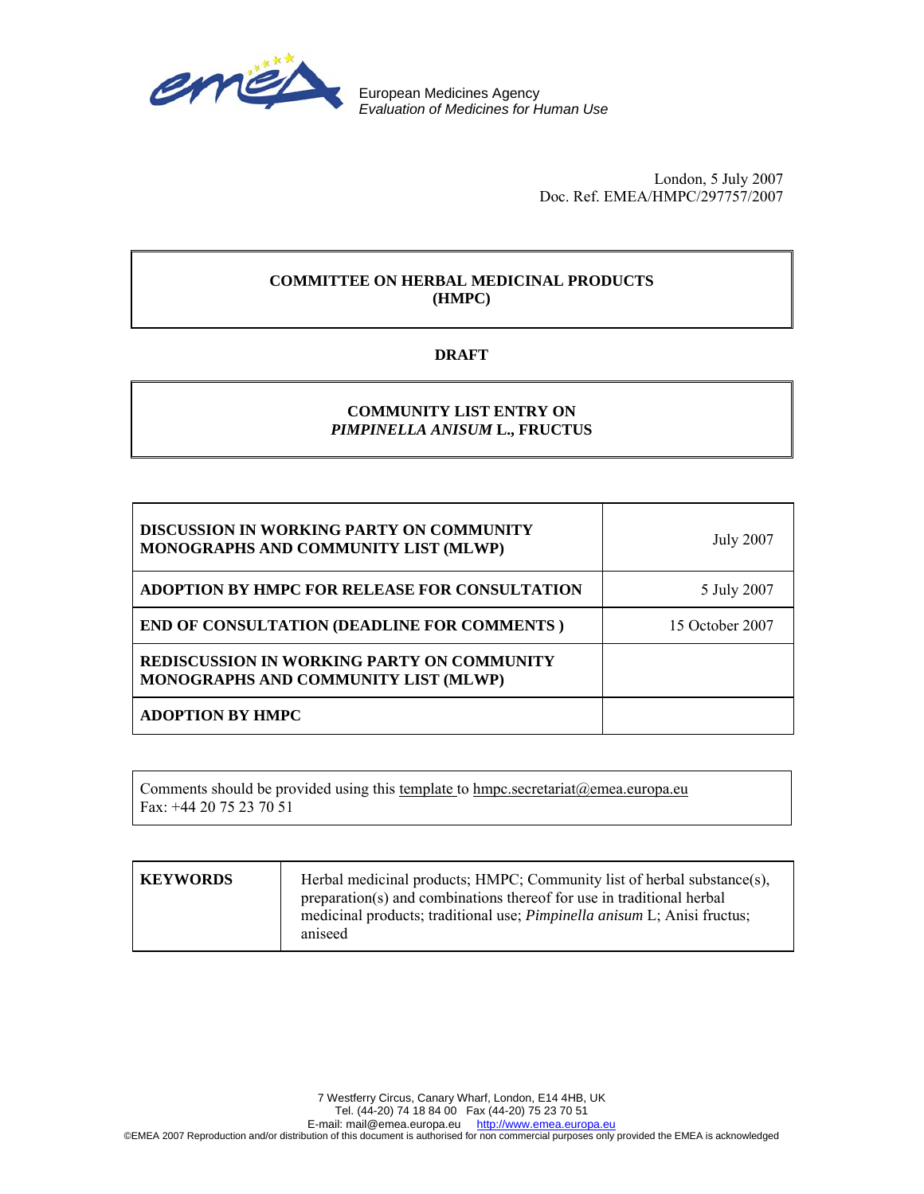

European Medicines Agency *Evaluation of Medicines for Human Use*

> London, 5 July 2007 Doc. Ref. EMEA/HMPC/297757/2007

# **COMMITTEE ON HERBAL MEDICINAL PRODUCTS (HMPC)**

# **DRAFT**

# **COMMUNITY LIST ENTRY ON**  *PIMPINELLA ANISUM* **L., FRUCTUS**

| <b>DISCUSSION IN WORKING PARTY ON COMMUNITY</b><br>MONOGRAPHS AND COMMUNITY LIST (MLWP)   | <b>July 2007</b> |
|-------------------------------------------------------------------------------------------|------------------|
| ADOPTION BY HMPC FOR RELEASE FOR CONSULTATION                                             | 5 July 2007      |
| <b>END OF CONSULTATION (DEADLINE FOR COMMENTS)</b>                                        | 15 October 2007  |
| <b>REDISCUSSION IN WORKING PARTY ON COMMUNITY</b><br>MONOGRAPHS AND COMMUNITY LIST (MLWP) |                  |
| <b>ADOPTION BY HMPC</b>                                                                   |                  |

Comments should be provided using this template to hmpc.secretariat@emea.europa.eu Fax: +44 20 75 23 70 51

| <b>KEYWORDS</b> | Herbal medicinal products; HMPC; Community list of herbal substance(s),<br>preparation(s) and combinations thereof for use in traditional herbal<br>medicinal products; traditional use; <i>Pimpinella anisum</i> L; Anisi fructus;<br>aniseed |
|-----------------|------------------------------------------------------------------------------------------------------------------------------------------------------------------------------------------------------------------------------------------------|
|-----------------|------------------------------------------------------------------------------------------------------------------------------------------------------------------------------------------------------------------------------------------------|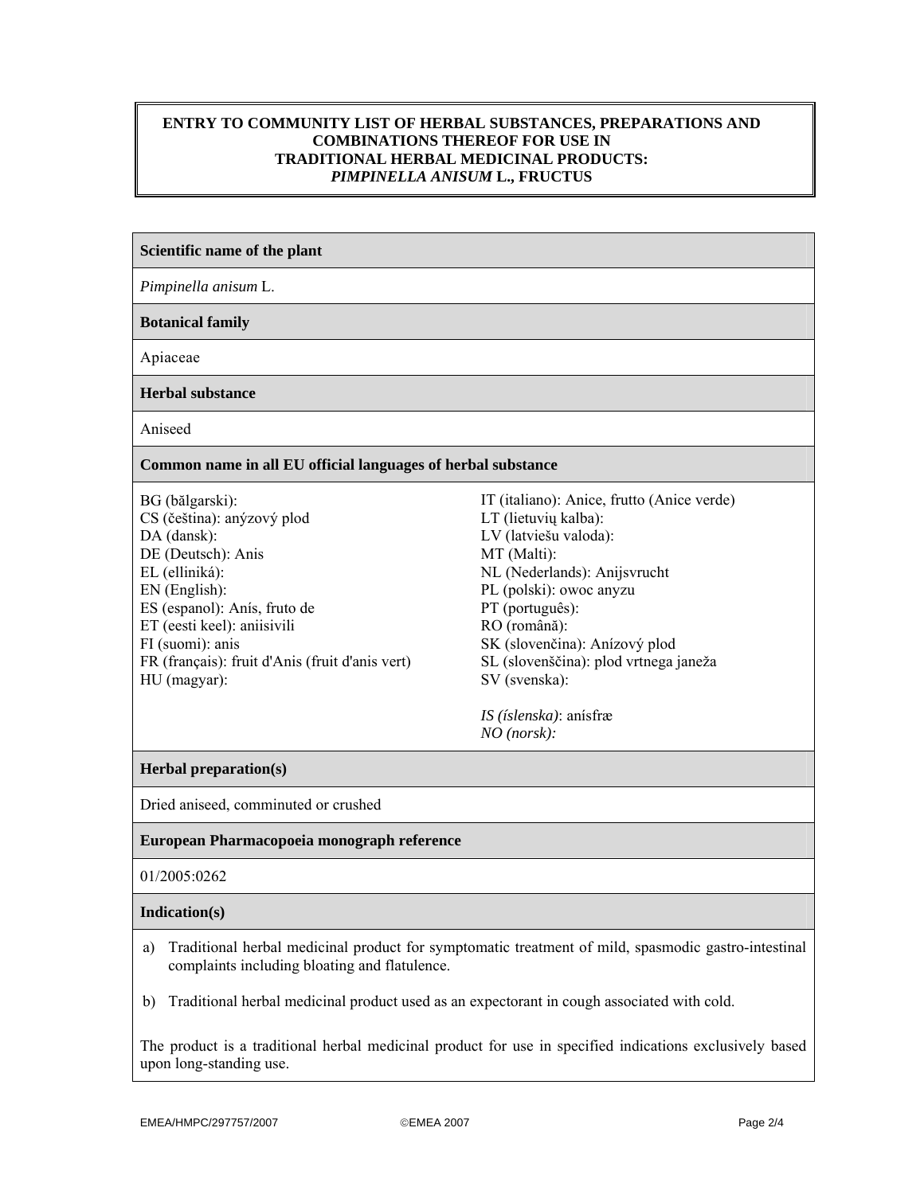# **ENTRY TO COMMUNITY LIST OF HERBAL SUBSTANCES, PREPARATIONS AND COMBINATIONS THEREOF FOR USE IN TRADITIONAL HERBAL MEDICINAL PRODUCTS:**  *PIMPINELLA ANISUM* **L., FRUCTUS**

### **Scientific name of the plant**

*Pimpinella anisum* L.

**Botanical family** 

Apiaceae

**Herbal substance**

Aniseed

#### **Common name in all EU official languages of herbal substance**

BG (bălgarski): CS (čeština): anýzový plod DA (dansk): DE (Deutsch): Anis EL (elliniká): EN (English): ES (espanol): Anís, fruto de ET (eesti keel): aniisivili FI (suomi): anis FR (français): fruit d'Anis (fruit d'anis vert) HU (magyar):

IT (italiano): Anice, frutto (Anice verde) LT (lietuvių kalba): LV (latviešu valoda): MT (Malti): NL (Nederlands): Anijsvrucht PL (polski): owoc anyzu PT (português): RO (română): SK (slovenčina): Anízový plod SL (slovenščina): plod vrtnega janeža SV (svenska):

*IS (íslenska)*: anísfræ *NO (norsk):*

### **Herbal preparation(s)**

Dried aniseed, comminuted or crushed

### **European Pharmacopoeia monograph reference**

01/2005:0262

#### **Indication(s)**

a) Traditional herbal medicinal product for symptomatic treatment of mild, spasmodic gastro-intestinal complaints including bloating and flatulence.

b) Traditional herbal medicinal product used as an expectorant in cough associated with cold.

The product is a traditional herbal medicinal product for use in specified indications exclusively based upon long-standing use.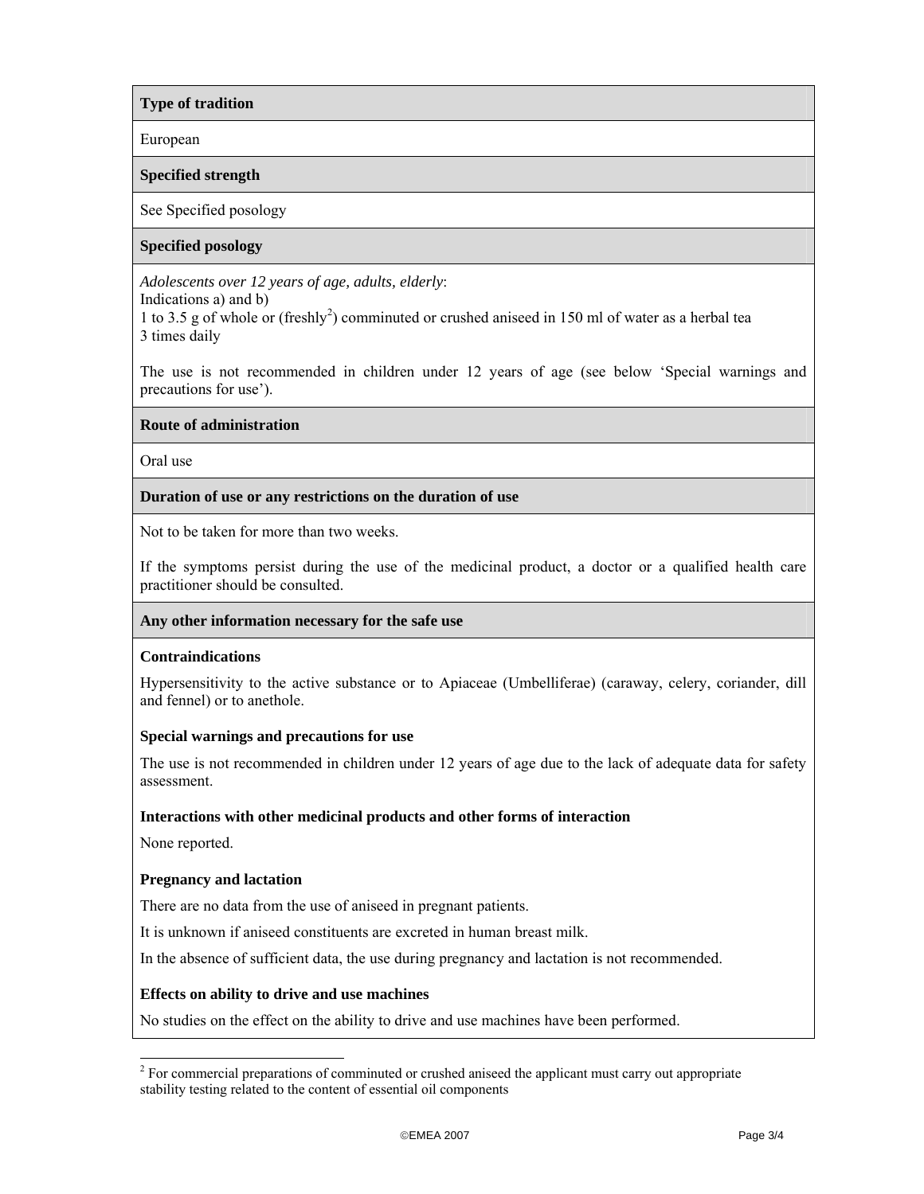# **Type of tradition**

European

### **Specified strength**

### See Specified posology

# **Specified posology**

*Adolescents over 12 years of age, adults, elderly*:

Indications a) and b)

1 to 3.5 g of whole or (freshly<sup>2</sup>) comminuted or crushed aniseed in 150 ml of water as a herbal tea 3 times daily

The use is not recommended in children under 12 years of age (see below 'Special warnings and precautions for use').

### **Route of administration**

Oral use

# **Duration of use or any restrictions on the duration of use**

Not to be taken for more than two weeks.

If the symptoms persist during the use of the medicinal product, a doctor or a qualified health care practitioner should be consulted.

### **Any other information necessary for the safe use**

### **Contraindications**

Hypersensitivity to the active substance or to Apiaceae (Umbelliferae) (caraway, celery, coriander, dill and fennel) or to anethole.

### **Special warnings and precautions for use**

The use is not recommended in children under 12 years of age due to the lack of adequate data for safety assessment.

# **Interactions with other medicinal products and other forms of interaction**

None reported.

# **Pregnancy and lactation**

There are no data from the use of aniseed in pregnant patients.

It is unknown if aniseed constituents are excreted in human breast milk.

In the absence of sufficient data, the use during pregnancy and lactation is not recommended.

### **Effects on ability to drive and use machines**

No studies on the effect on the ability to drive and use machines have been performed.

<sup>&</sup>lt;sup>2</sup> For commercial preparations of comminuted or crushed aniseed the applicant must carry out appropriate stability testing related to the content of essential oil components